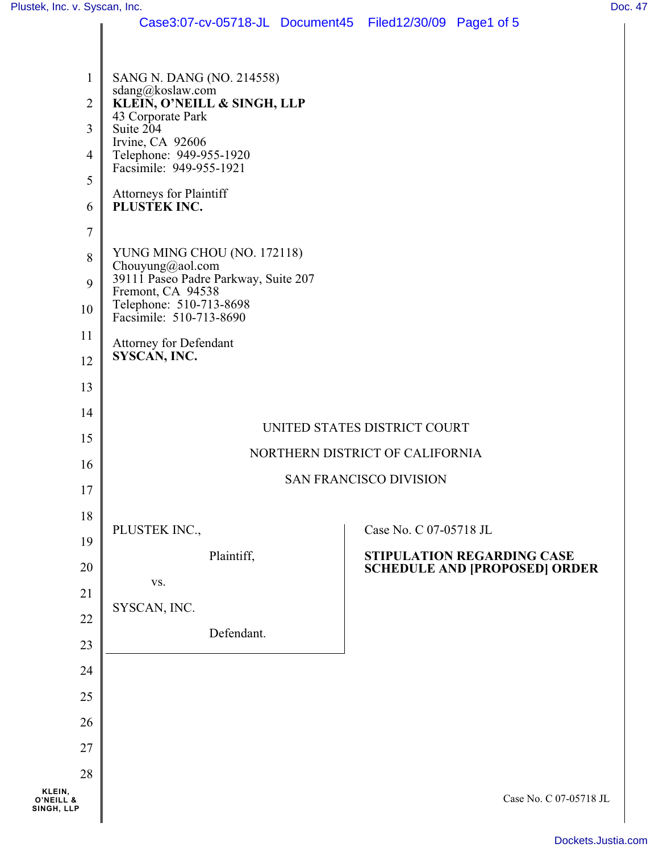|                         | Case3:07-cv-05718-JL Document45 Filed12/30/09 Page1 of 5         |                                      |  |  |  |  |  |
|-------------------------|------------------------------------------------------------------|--------------------------------------|--|--|--|--|--|
|                         |                                                                  |                                      |  |  |  |  |  |
| 1                       | SANG N. DANG (NO. 214558)                                        |                                      |  |  |  |  |  |
| $\mathbf{2}$            | sdang@koslaw.com<br>KLEIN, O'NEILL & SINGH, LLP                  |                                      |  |  |  |  |  |
| $\overline{3}$          | 43 Corporate Park<br>Suite 204                                   |                                      |  |  |  |  |  |
| 4                       | Irvine, CA 92606<br>Telephone: 949-955-1920                      |                                      |  |  |  |  |  |
| 5                       | Facsimile: 949-955-1921                                          |                                      |  |  |  |  |  |
| 6                       | Attorneys for Plaintiff<br>PLUSTEK INC.                          |                                      |  |  |  |  |  |
| $\boldsymbol{7}$        |                                                                  |                                      |  |  |  |  |  |
| $8\,$                   | YUNG MING CHOU (NO. 172118)<br>Chouyung@aol.com                  |                                      |  |  |  |  |  |
| 9                       | 39111 Paseo Padre Parkway, Suite 207<br>Fremont, CA 94538        |                                      |  |  |  |  |  |
| 10                      | Telephone: 510-713-8698<br>Facsimile: 510-713-8690               |                                      |  |  |  |  |  |
| 11                      | <b>Attorney for Defendant</b>                                    |                                      |  |  |  |  |  |
| 12                      | SYSCAN, INC.                                                     |                                      |  |  |  |  |  |
| 13                      |                                                                  |                                      |  |  |  |  |  |
| 14                      |                                                                  |                                      |  |  |  |  |  |
| 15                      | UNITED STATES DISTRICT COURT                                     |                                      |  |  |  |  |  |
| 16                      | NORTHERN DISTRICT OF CALIFORNIA<br><b>SAN FRANCISCO DIVISION</b> |                                      |  |  |  |  |  |
| 17                      |                                                                  |                                      |  |  |  |  |  |
| 18                      | PLUSTEK INC.,                                                    | Case No. C 07-05718 JL               |  |  |  |  |  |
| 19                      | Plaintiff,                                                       | <b>STIPULATION REGARDING CASE</b>    |  |  |  |  |  |
| 20                      | VS.                                                              | <b>SCHEDULE AND [PROPOSED] ORDER</b> |  |  |  |  |  |
| 21                      | SYSCAN, INC.                                                     |                                      |  |  |  |  |  |
| 22                      | Defendant.                                                       |                                      |  |  |  |  |  |
| 23                      |                                                                  |                                      |  |  |  |  |  |
| 24                      |                                                                  |                                      |  |  |  |  |  |
| 25                      |                                                                  |                                      |  |  |  |  |  |
| 26                      |                                                                  |                                      |  |  |  |  |  |
| 27                      |                                                                  |                                      |  |  |  |  |  |
| 28<br>KLEIN,            |                                                                  |                                      |  |  |  |  |  |
| O'NEILL &<br>SINGH, LLP |                                                                  | Case No. C 07-05718 JL               |  |  |  |  |  |
|                         |                                                                  |                                      |  |  |  |  |  |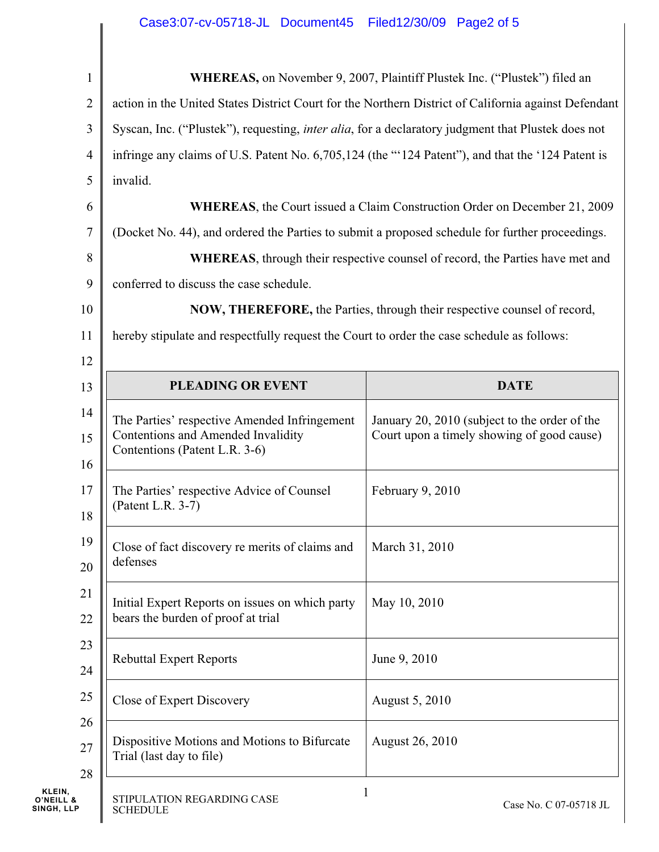## Case3:07-cv-05718-JL Document45 Filed12/30/09 Page2 of 5

| $\mathbf{1}$   | <b>WHEREAS</b> , on November 9, 2007, Plaintiff Plustek Inc. ("Plustek") filed an                          |                                               |  |  |  |  |
|----------------|------------------------------------------------------------------------------------------------------------|-----------------------------------------------|--|--|--|--|
| $\overline{2}$ | action in the United States District Court for the Northern District of California against Defendant       |                                               |  |  |  |  |
| 3              | Syscan, Inc. ("Plustek"), requesting, <i>inter alia</i> , for a declaratory judgment that Plustek does not |                                               |  |  |  |  |
| 4              | infringe any claims of U.S. Patent No. 6,705,124 (the "'124 Patent"), and that the '124 Patent is          |                                               |  |  |  |  |
| 5              | invalid.                                                                                                   |                                               |  |  |  |  |
| 6              | <b>WHEREAS</b> , the Court issued a Claim Construction Order on December 21, 2009                          |                                               |  |  |  |  |
| 7              | (Docket No. 44), and ordered the Parties to submit a proposed schedule for further proceedings.            |                                               |  |  |  |  |
| 8              | <b>WHEREAS</b> , through their respective counsel of record, the Parties have met and                      |                                               |  |  |  |  |
| 9              | conferred to discuss the case schedule.                                                                    |                                               |  |  |  |  |
| 10             | <b>NOW, THEREFORE, the Parties, through their respective counsel of record,</b>                            |                                               |  |  |  |  |
| 11             | hereby stipulate and respectfully request the Court to order the case schedule as follows:                 |                                               |  |  |  |  |
| 12             |                                                                                                            |                                               |  |  |  |  |
| 13             | <b>PLEADING OR EVENT</b>                                                                                   | <b>DATE</b>                                   |  |  |  |  |
| 14             | The Parties' respective Amended Infringement                                                               | January 20, 2010 (subject to the order of the |  |  |  |  |
| 15             | Contentions and Amended Invalidity<br>Contentions (Patent L.R. 3-6)                                        | Court upon a timely showing of good cause)    |  |  |  |  |
| 16             |                                                                                                            |                                               |  |  |  |  |
| 17             | The Parties' respective Advice of Counsel<br>(Patent L.R. 3-7)                                             | February 9, 2010                              |  |  |  |  |
| 18             |                                                                                                            |                                               |  |  |  |  |
| 19             | Close of fact discovery re merits of claims and<br>defenses                                                | March 31, 2010                                |  |  |  |  |
| 20             |                                                                                                            |                                               |  |  |  |  |
| 21             | Initial Expert Reports on issues on which party                                                            | May 10, 2010                                  |  |  |  |  |
| 22             | bears the burden of proof at trial                                                                         |                                               |  |  |  |  |
| 23<br>24       | <b>Rebuttal Expert Reports</b>                                                                             | June 9, 2010                                  |  |  |  |  |
| 25             | Close of Expert Discovery                                                                                  | August 5, 2010                                |  |  |  |  |
| 26<br>27<br>28 | Dispositive Motions and Motions to Bifurcate<br>Trial (last day to file)                                   | August 26, 2010                               |  |  |  |  |
|                | STIPULATION REGARDING CASE<br><b>SCHEDULE</b>                                                              | 1<br>Case No. C 07-05718 JL                   |  |  |  |  |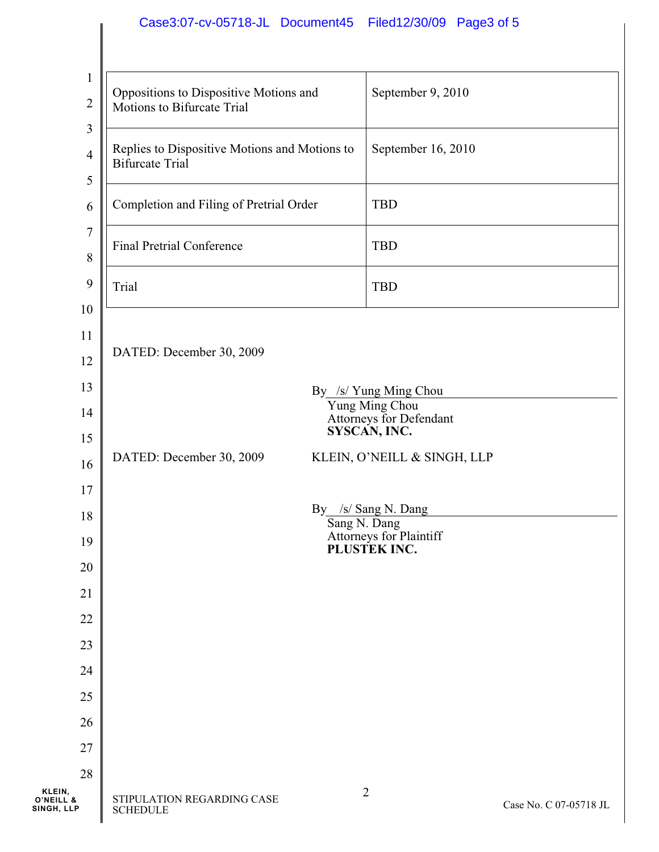## Case3:07-cv-05718-JL Document45 Filed12/30/09 Page3 of 5

| $\mathbf{1}$<br>$\overline{2}$        | Oppositions to Dispositive Motions and<br>Motions to Bifurcate Trial    | September 9, 2010     |                             |                        |
|---------------------------------------|-------------------------------------------------------------------------|-----------------------|-----------------------------|------------------------|
| $\mathfrak{Z}$<br>$\overline{4}$<br>5 | Replies to Dispositive Motions and Motions to<br><b>Bifurcate Trial</b> |                       | September 16, 2010          |                        |
| 6                                     | Completion and Filing of Pretrial Order                                 |                       | <b>TBD</b>                  |                        |
| $\tau$<br>8                           | <b>Final Pretrial Conference</b>                                        |                       | <b>TBD</b>                  |                        |
| 9<br>10                               | Trial                                                                   |                       | <b>TBD</b>                  |                        |
| 11<br>12<br>13                        | DATED: December 30, 2009                                                | By /s/ Yung Ming Chou |                             |                        |
| 14<br>15                              | Yung Ming Chou<br>Attorneys for Defendant<br>SYSCAN, INC.               |                       |                             |                        |
| 16                                    | DATED: December 30, 2009                                                |                       | KLEIN, O'NEILL & SINGH, LLP |                        |
| 17<br>18                              | By /s/ Sang N. Dang<br>Sang N. Dang                                     |                       |                             |                        |
| 19<br>$20\,$                          | Attorneys for Plaintiff<br>PLUSTEK INC.                                 |                       |                             |                        |
| 21                                    |                                                                         |                       |                             |                        |
| $22\,$                                |                                                                         |                       |                             |                        |
| 23                                    |                                                                         |                       |                             |                        |
| 24                                    |                                                                         |                       |                             |                        |
| 25                                    |                                                                         |                       |                             |                        |
| 26                                    |                                                                         |                       |                             |                        |
| 27                                    |                                                                         |                       |                             |                        |
| 28<br>KLEIN,                          |                                                                         |                       | 2                           |                        |
| O'NEILL <sup>8</sup><br>SINGH, LLP    | STIPULATION REGARDING CASE<br><b>SCHEDULE</b>                           |                       |                             | Case No. C 07-05718 JL |